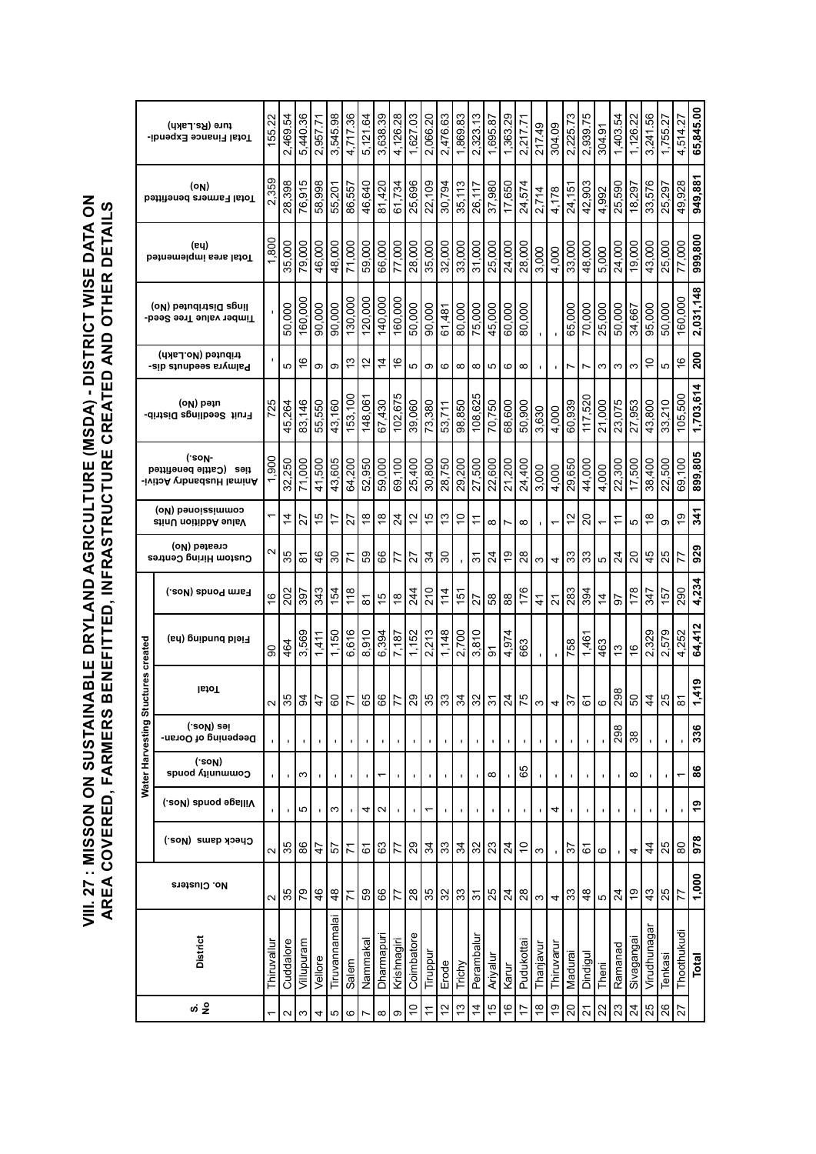**VIII. 27 : MISSON ON SUSTAINABLE DRYLAND AGRICULTURE (MSDA) - DISTRICT WISE DATA ON**  VIII. 27 : MISSON ON SUSTAINABLE DRYLAND AGRICULTURE (MSDA) - DISTRICT WISE DATA ON<br>AREA COVERED, FARMERS BENEFITTED, INFRASTRUCTURE CREATED AND OTHER DETAILS **AREA COVERED, FARMERS BENEFITTED, INFRASTRUCTURE CREATED AND OTHER DETAILS** 

|                   | ture (Rs.Lakh)<br>Total Finance Expendi-                      | 155.22                   | 2,469.54          | 5,440.36      | 2,957.71     | 3,545.98              | 4,717.36       | 5.121.64                 | 3,638.39       | 4,126.28       | 1,627.03    | 2,066.20       | 2,476.63         | $\frac{8}{3}$<br>1,869. | 2,323.13         | 1,695.87       | 1,363.29       | 2,217.71    | 217.49                                                                                                                                                                                                                                                                                                              | 304.09                   | 2,225.73       | 2,939.75      | 304.91    | 1,403.54        | 1,126.22        | 3,241.56      | 1,755.27       | 4,514.27            | 65,845.00 |
|-------------------|---------------------------------------------------------------|--------------------------|-------------------|---------------|--------------|-----------------------|----------------|--------------------------|----------------|----------------|-------------|----------------|------------------|-------------------------|------------------|----------------|----------------|-------------|---------------------------------------------------------------------------------------------------------------------------------------------------------------------------------------------------------------------------------------------------------------------------------------------------------------------|--------------------------|----------------|---------------|-----------|-----------------|-----------------|---------------|----------------|---------------------|-----------|
|                   | (ON)<br><b>Total Farmers benefitted</b>                       | 2,359                    | 28,398            | 76,915        | 58,998       | 55,201                | 86,557         | 46.640                   | 81,420         | 61,734         | 25,696      | 22,109         | 30,794           | 35,113                  | 26,117           | 37,980         | 17,650         | 24,574      | 2,714                                                                                                                                                                                                                                                                                                               | 4,178                    | 24,151         | 42,903        | 4,992     | 25,590          | 18,297          | 33,576        | 25,297         | 49,928              | 949,881   |
|                   | (ey)<br>Total area implemented                                | 1,800                    | 35,000            | 79,000        | 46,000       | 48,000                | 71.000         | 59,000                   | 66,000         | 77,000         | 28,000      | 35,000         | 32,000           | 33,000                  | 31,000           | 25,000         | 24,000         | 28,000      | 3,000                                                                                                                                                                                                                                                                                                               | 4,000                    | 33,000         | 48,000        | 5,000     | 24,000          | 19,000          | 43,000        | 25,000         | 77,000              | 999,800   |
|                   | lings Distributed (No)<br>Timber value Tree Seed-             |                          | 50.000            | 160,000       | 90,000       | 90,000                | 130,000        | 120,000                  | 140,000        | 160,000        | 50,000      | 90,000         | 61,481           | 80,000                  | 75,000           | 45,000         | 60,000         | 80,000      |                                                                                                                                                                                                                                                                                                                     |                          | 65,000         | 70,000        | 25,000    | 50,000          | 34,667          | 95,000        | 50,000         | 160,000             | 2,031,148 |
|                   | tributed (No.Lakh)<br>Palmyra seequuts dis-                   |                          | 5                 | $\frac{6}{5}$ | ω            | σ                     | 13             | $\frac{2}{3}$            | $\overline{4}$ | $\frac{6}{5}$  | 5           | ၜ              | $\circ$          | $\infty$                | $\infty$         | မာ             | 6              | $\infty$    |                                                                                                                                                                                                                                                                                                                     |                          | $\overline{ }$ | Ľ             | S         | S               | S               | $\frac{1}{2}$ | 5              | $\frac{6}{5}$       | 200       |
|                   | (oN) bəin<br>Fruit Seedlings Distrib-                         | 725                      | 45,264            | 83,146        | 55,550       | 43,160                | 153,100        | 148,06                   | 67,430         | 102,675        | 39,060      | 73,380         | 53,711           | 98,850                  | 108,625          | 70,750         | 68,600         | 50,900      | 3,630                                                                                                                                                                                                                                                                                                               | 4,000                    | 60,939         | 117,520       | 21,000    | 23,075          | 27,953          | 43,800        | 33,210         | 105,500             | 1,703,614 |
|                   | ('son-<br>ties (Cattle benefitted<br>-ivitoA vtbnsdauH IsminA | 1,900                    | 32,250            | 71,000        | 41,500       | 43,605                | 64.200         | 52,950                   | 59,000         | 69,100         | 25,400      | 30,800         | 28,750           | 29,200                  | 27,500           | 22,600         | 21,200         | 24,400      | 3,000                                                                                                                                                                                                                                                                                                               | 4,000                    | 29,650         | 44,000        | 4,000     | 22,300          | 17,500          | 38,400        | 22,500         | 69,100              | 899,805   |
|                   | commissimulos)<br>ctinU noitibbA eulsV                        |                          | $\dot{4}$         | 22            | 45           | $\overline{1}$        | 27             | $\overset{\circ}{\cdot}$ | $\frac{8}{1}$  | $\overline{2}$ | $\tilde{c}$ | 15             | చ                | $\frac{1}{2}$           |                  | ∞∣             | Ľ              | $\infty$    |                                                                                                                                                                                                                                                                                                                     | $\overline{\phantom{0}}$ | 5              | 20            | ↽         | <u>:</u>        | Ю               | $\frac{8}{1}$ | တ              | 6)                  | 341       |
|                   | created (No)<br>Custom Hiring Centres                         | $\scriptstyle\mathtt{N}$ | 35                | ౚ             | 46           | 30                    | 71             | 89                       | 89             | 77             | 27          | रु             | $\boldsymbol{S}$ |                         | $\tilde{\bm{c}}$ | $\frac{4}{3}$  | e,             | $28$        | ω                                                                                                                                                                                                                                                                                                                   | 4                        | $33\,$         | 33            | Ю         | $\overline{2}$  | 20              | 45            | 25             | 77                  | 929       |
|                   | farm Ponds (Nos.)                                             | $\overset{\circ}{\cdot}$ | 202               | 397           | 343          | 154                   | $\frac{8}{10}$ | <u>रु</u>                | 45             | $\frac{8}{1}$  | 244         | 210            | $\frac{4}{3}$    | $\frac{1}{10}$          | 27               |                |                | 176         | $\frac{4}{5}$                                                                                                                                                                                                                                                                                                       | 21                       | 283            | 394           | $\dot{z}$ | 57              | 178             | 347           | $\frac{15}{7}$ | 290                 | 4,234     |
|                   | Field burbing (ha)                                            | 8                        | 464               | 3,569         | 1,411        | 1,150                 | 6.616          | 8.910                    | 6,394          | 7,187          | 1,152       | 2.213          | 1,148            | 2,700                   | 3,810            | $\overline{5}$ | 4,974          | 663         |                                                                                                                                                                                                                                                                                                                     |                          | 758            | 1,461         | 463       | $\frac{3}{2}$   | $\frac{6}{5}$   | 2,329         | 2,579          | 4,252               | 64,412    |
| Stuctures created | <b>IstoT</b>                                                  | 2                        | 35                | 94            | l÷           | 60                    | $\frac{1}{2}$  | 잉                        | $\frac{66}{5}$ | 77             |             |                |                  |                         |                  |                |                |             | $\frac{1}{2}$ $\frac{1}{2}$ $\frac{1}{2}$ $\frac{1}{2}$ $\frac{1}{2}$ $\frac{1}{2}$ $\frac{1}{2}$ $\frac{1}{2}$ $\frac{1}{2}$ $\frac{1}{2}$ $\frac{1}{2}$ $\frac{1}{2}$ $\frac{1}{2}$ $\frac{1}{2}$ $\frac{1}{2}$ $\frac{1}{2}$ $\frac{1}{2}$ $\frac{1}{2}$ $\frac{1}{2}$ $\frac{1}{2}$ $\frac{1}{2}$ $\frac{1}{2}$ |                          |                |               |           |                 | $50\,$          |               | $rac{4}{5}$    | $\overline{\infty}$ | 1,419     |
|                   | (.soM) səi<br>Deepening of Ooran-                             |                          |                   |               | f,           | $\blacksquare$        | f,             |                          |                |                |             |                |                  |                         |                  |                |                |             |                                                                                                                                                                                                                                                                                                                     |                          |                |               |           | 298             | 38              |               |                |                     | 336       |
| Water Harvesting  | ('soN)<br>Community ponds                                     |                          |                   | ω             |              | ı.                    | $\blacksquare$ |                          | ٣              |                |             |                |                  |                         | ı.               | $\infty$       | $\blacksquare$ | 65          |                                                                                                                                                                                                                                                                                                                     |                          | ,              |               |           | $\blacksquare$  | ${}^{\circ}$    | ı             |                |                     | 86        |
|                   | Village ponds (Nos.)                                          |                          |                   | 5             | $\mathbf{I}$ | S                     | $\blacksquare$ | 4                        | $\sim$         |                |             | ᡪ              |                  |                         |                  | ı              |                |             |                                                                                                                                                                                                                                                                                                                     | 4                        |                |               |           |                 |                 |               |                |                     | <b>e</b>  |
|                   | Check dams (Nos.)                                             | $\mathbf{\Omega}$        | 35                | 86            | $\ddot{4}$   | 5                     | 71             | 67                       | 63             | 77             | 29          | $\mathfrak{F}$ | 33               | $\mathfrak{F}$          | 32               | 23             | $\overline{2}$ | $\tilde{c}$ | S                                                                                                                                                                                                                                                                                                                   |                          | 22             | 6             | ဖ         |                 | 4               | $\frac{4}{4}$ | 25             | $\rm{8}$            | 978       |
|                   | No. Clusters                                                  | $\mathbf{\Omega}$        | 35                | 54            | 46           | 48                    | 71             | 59                       | 89             | 77             | 28          | 35             | 32               | 33                      | $\frac{1}{3}$    | 25             | $\frac{4}{3}$  | $28$        | S                                                                                                                                                                                                                                                                                                                   | 4                        | 33             | $\frac{8}{3}$ | Ю         | $\overline{24}$ | $\frac{6}{5}$   | 43            | 25             | 77                  | 1,000     |
|                   | District                                                      | Thiruvallur              | Cuddalore         | Villupuram    | Vellore      | <u>Tiruvannamalai</u> | Salem          | Nammakal                 | Dharmapuri     | Krishnagiri    | Coimbatore  | Tiruppur       | Erode            | Trichy                  | Perambalur       | Ariyalur       | Karur          | Pudukotta   | Thanjavu                                                                                                                                                                                                                                                                                                            | Thiruvaru                | Madurai        | Dindigul      | Theni     | Ramanad         | Sivagangai      | Virudhunagar  | Tenkasi        | Thoothukudi         | Total     |
|                   |                                                               |                          | $\mathbf{\Omega}$ | ω             | 4            | 5                     | ဖ              |                          | $\infty$       | တ              | $\tilde{c}$ | ÷              | 51               | 13                      | 4                | 15             | $\frac{6}{5}$  | 17          | $\overset{\infty}{\cdot}$                                                                                                                                                                                                                                                                                           | é,                       | $\overline{c}$ | 24            | 22        | 23              | $\overline{24}$ | 25            | 26             | 27                  |           |